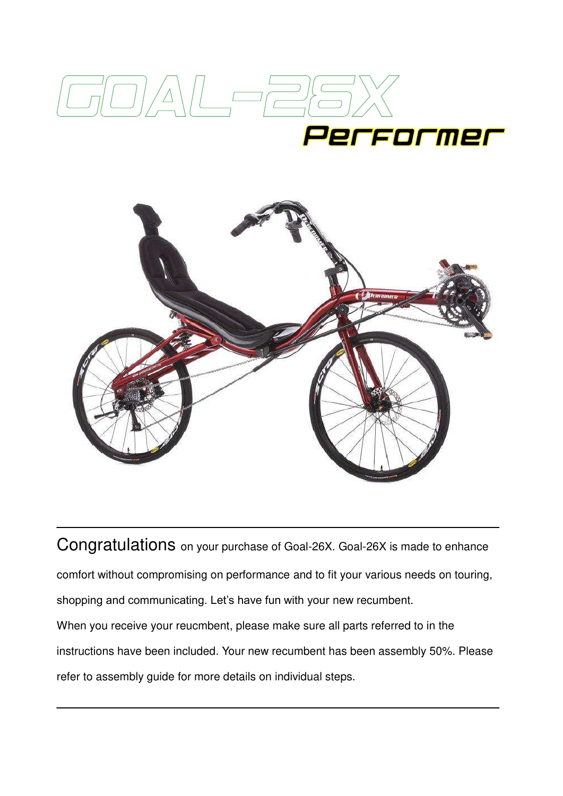



Congratulations on your purchase of Goal-26X. Goal-26X is made to enhance comfort without compromising on performance and to fit your various needs on touring, shopping and communicating. Let's have fun with your new recumbent. When you receive your reucmbent, please make sure all parts referred to in the instructions have been included. Your new recumbent has been assembly 50%. Please refer to assembly guide for more details on individual steps.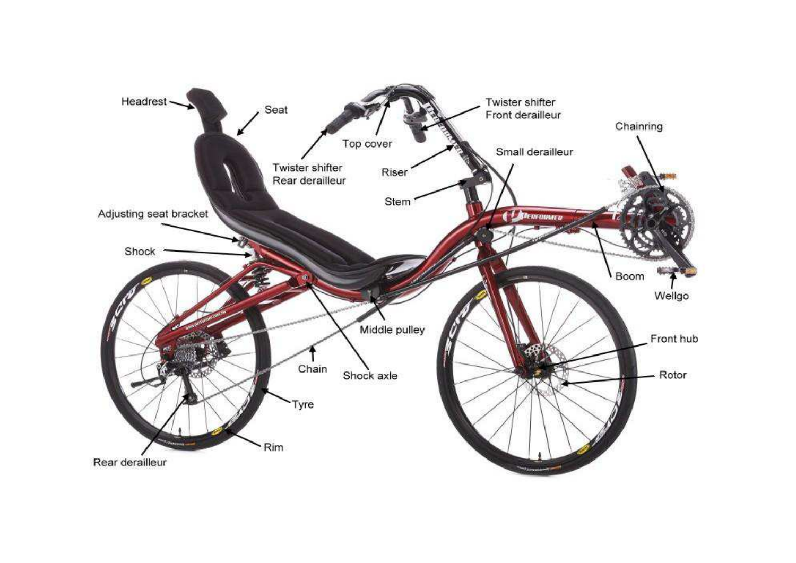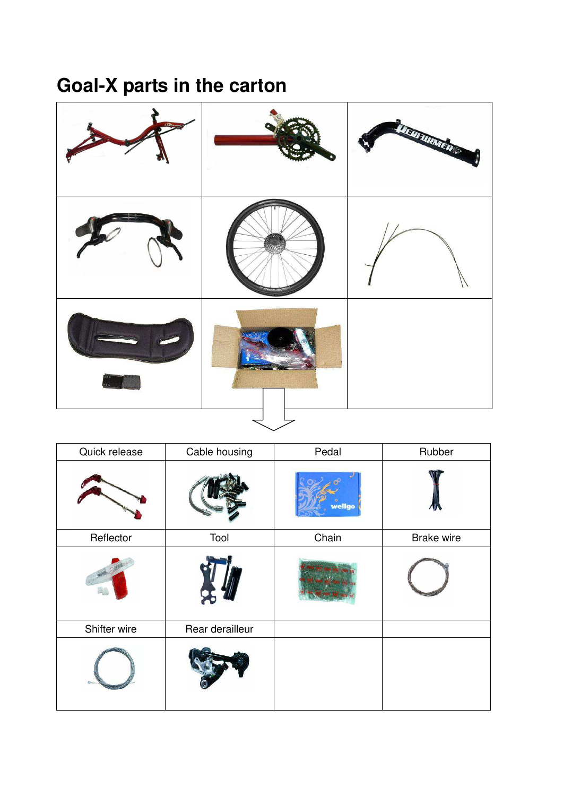## **Goal-X parts in the carton**



| Quick release | Cable housing   | Pedal  | Rubber     |
|---------------|-----------------|--------|------------|
|               |                 | wellgo |            |
| Reflector     | Tool            | Chain  | Brake wire |
|               |                 |        |            |
| Shifter wire  | Rear derailleur |        |            |
|               |                 |        |            |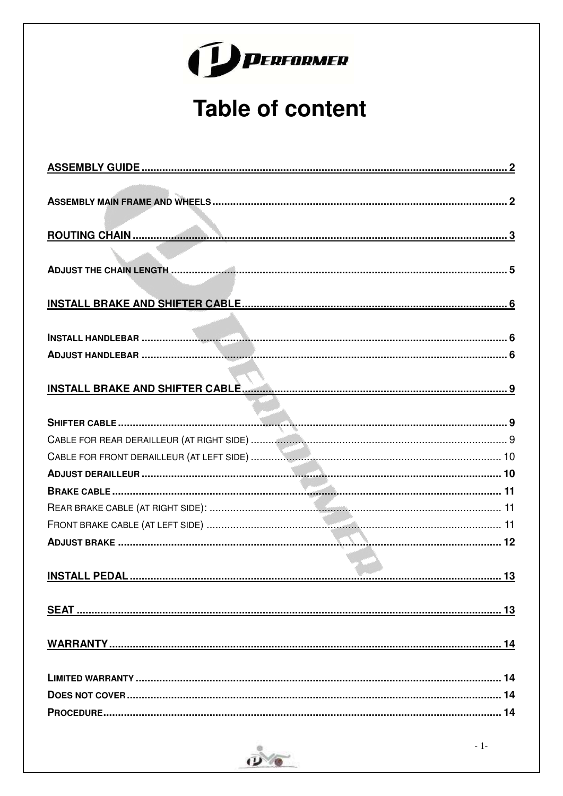|  | J WERFORMER |
|--|-------------|
|  |             |

## **Table of content**

| 14 |
|----|
|    |
|    |

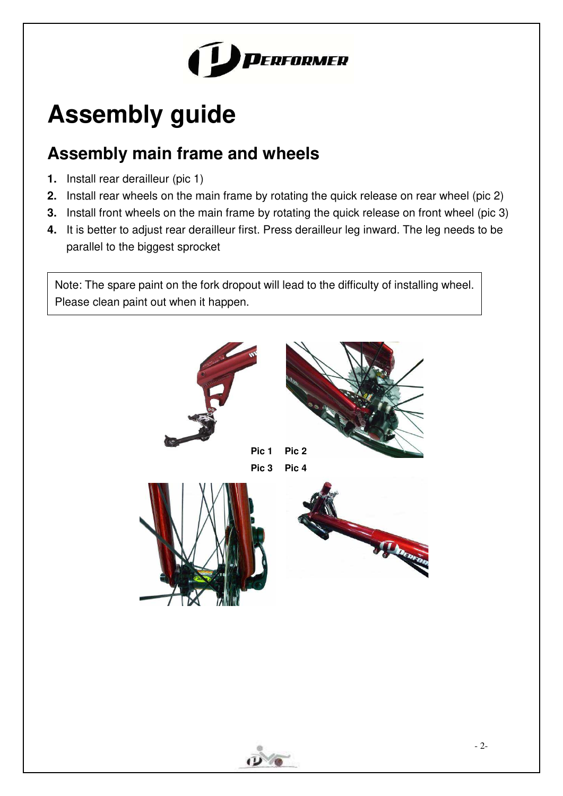

# <span id="page-4-0"></span>**Assembly guide**

## <span id="page-4-1"></span>**Assembly main frame and wheels**

- **1.** Install rear derailleur (pic 1)
- **2.** Install rear wheels on the main frame by rotating the quick release on rear wheel (pic 2)
- **3.** Install front wheels on the main frame by rotating the quick release on front wheel (pic 3)
- **4.** It is better to adjust rear derailleur first. Press derailleur leg inward. The leg needs to be parallel to the biggest sprocket

Note: The spare paint on the fork dropout will lead to the difficulty of installing wheel. Please clean paint out when it happen.



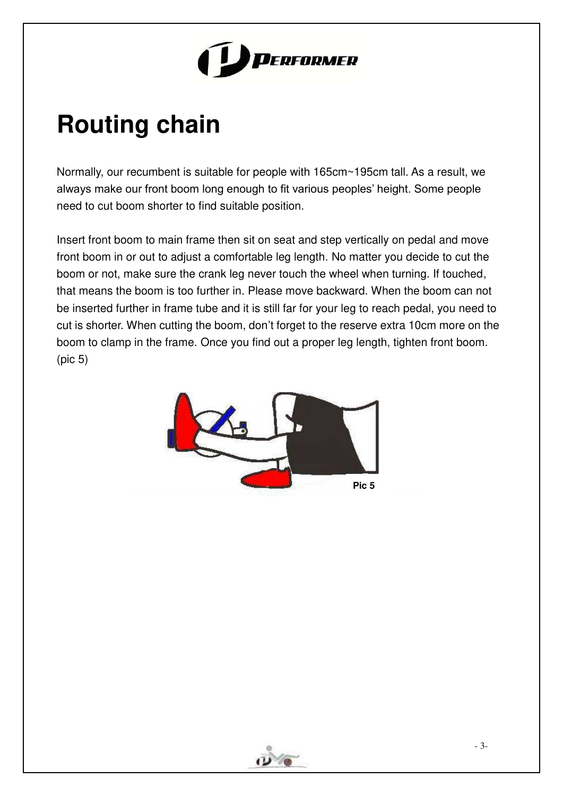

# <span id="page-5-0"></span>**Routing chain**

Normally, our recumbent is suitable for people with 165cm~195cm tall. As a result, we always make our front boom long enough to fit various peoples' height. Some people need to cut boom shorter to find suitable position.

Insert front boom to main frame then sit on seat and step vertically on pedal and move front boom in or out to adjust a comfortable leg length. No matter you decide to cut the boom or not, make sure the crank leg never touch the wheel when turning. If touched, that means the boom is too further in. Please move backward. When the boom can not be inserted further in frame tube and it is still far for your leg to reach pedal, you need to cut is shorter. When cutting the boom, don't forget to the reserve extra 10cm more on the boom to clamp in the frame. Once you find out a proper leg length, tighten front boom. (pic 5)



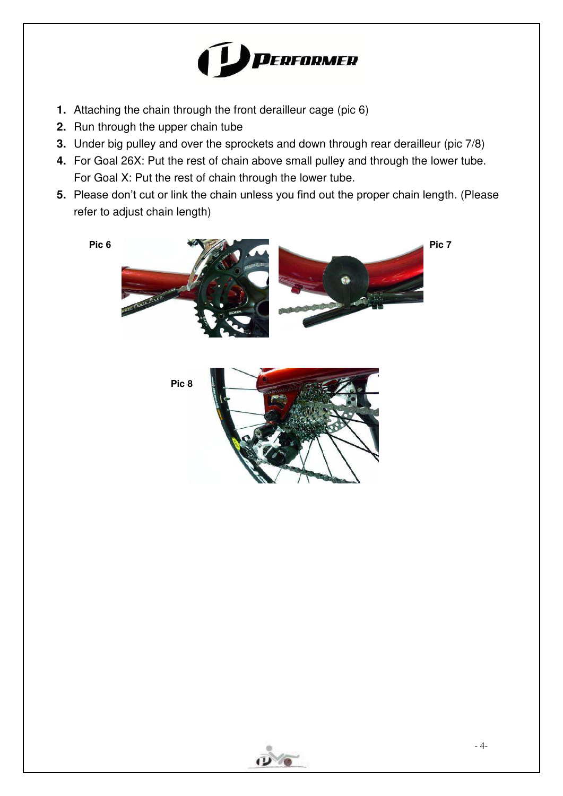

- **1.** Attaching the chain through the front derailleur cage (pic 6)
- **2.** Run through the upper chain tube
- **3.** Under big pulley and over the sprockets and down through rear derailleur (pic 7/8)
- **4.** For Goal 26X: Put the rest of chain above small pulley and through the lower tube. For Goal X: Put the rest of chain through the lower tube.
- **5.** Please don't cut or link the chain unless you find out the proper chain length. (Please refer to adjust chain length)



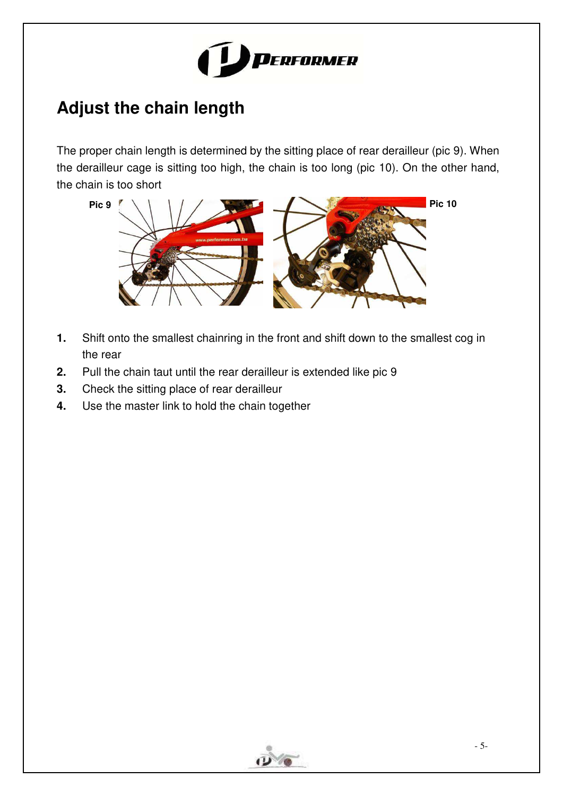

## **Adjust the chain length**

The proper chain length is determined by the sitting place of rear derailleur (pic 9). When the derailleur cage is sitting too high, the chain is too long (pic 10). On the other hand, the chain is too short



- **1.** Shift onto the smallest chainring in the front and shift down to the smallest cog in the rear
- **2.** Pull the chain taut until the rear derailleur is extended like pic 9
- **3.** Check the sitting place of rear derailleur
- **4.** Use the master link to hold the chain together

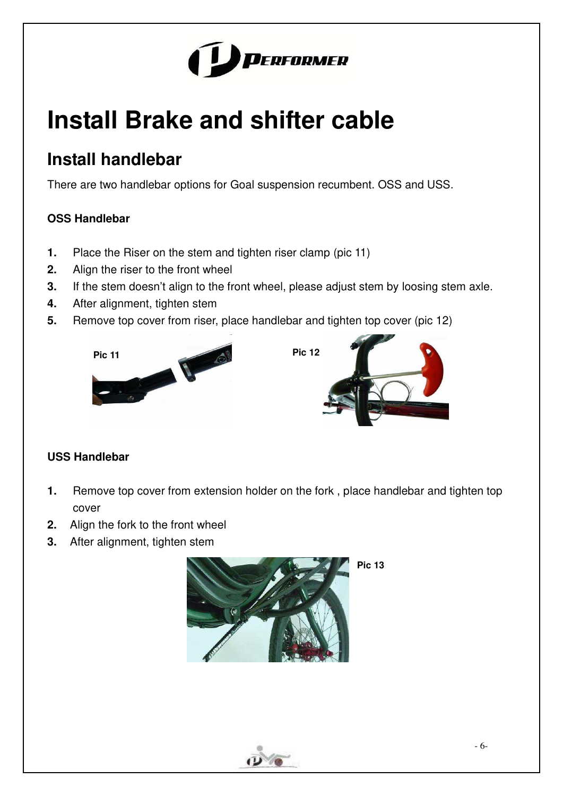

# <span id="page-8-0"></span>**Install Brake and shifter cable**

### <span id="page-8-1"></span>**Install handlebar**

There are two handlebar options for Goal suspension recumbent. OSS and USS.

### **OSS Handlebar**

- **1.** Place the Riser on the stem and tighten riser clamp (pic 11)
- **2.** Align the riser to the front wheel
- **3.** If the stem doesn't align to the front wheel, please adjust stem by loosing stem axle.
- **4.** After alignment, tighten stem
- **5.** Remove top cover from riser, place handlebar and tighten top cover (pic 12)





### <span id="page-8-2"></span>**USS Handlebar**

- **1.** Remove top cover from extension holder on the fork , place handlebar and tighten top cover
- **2.** Align the fork to the front wheel
- **3.** After alignment, tighten stem



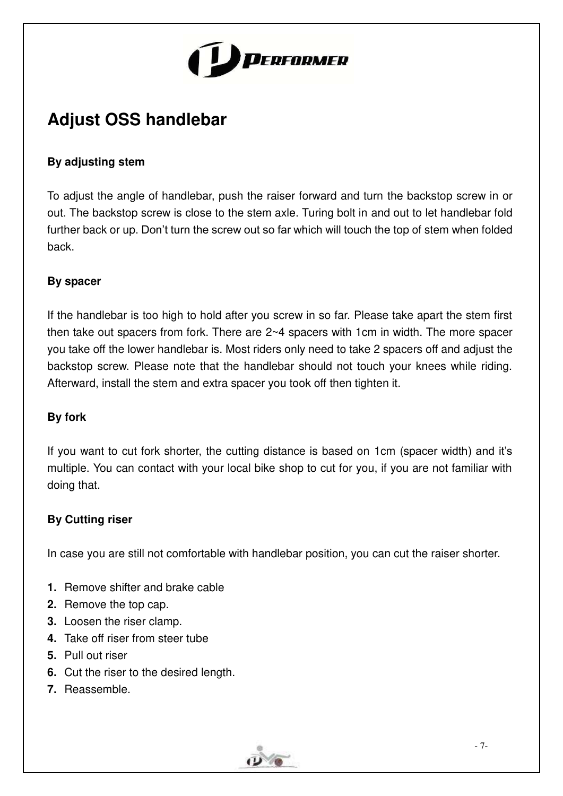

## **Adjust OSS handlebar**

### **By adjusting stem**

To adjust the angle of handlebar, push the raiser forward and turn the backstop screw in or out. The backstop screw is close to the stem axle. Turing bolt in and out to let handlebar fold further back or up. Don't turn the screw out so far which will touch the top of stem when folded back.

#### **By spacer**

If the handlebar is too high to hold after you screw in so far. Please take apart the stem first then take out spacers from fork. There are 2~4 spacers with 1cm in width. The more spacer you take off the lower handlebar is. Most riders only need to take 2 spacers off and adjust the backstop screw. Please note that the handlebar should not touch your knees while riding. Afterward, install the stem and extra spacer you took off then tighten it.

#### **By fork**

If you want to cut fork shorter, the cutting distance is based on 1cm (spacer width) and it's multiple. You can contact with your local bike shop to cut for you, if you are not familiar with doing that.

#### **By Cutting riser**

In case you are still not comfortable with handlebar position, you can cut the raiser shorter.

- **1.** Remove shifter and brake cable
- **2.** Remove the top cap.
- **3.** Loosen the riser clamp.
- **4.** Take off riser from steer tube
- **5.** Pull out riser
- **6.** Cut the riser to the desired length.
- **7.** Reassemble.

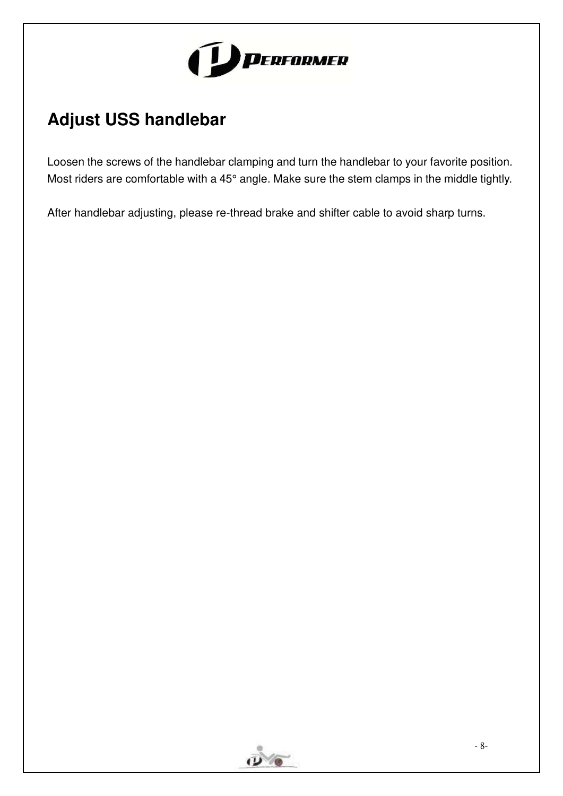

## **Adjust USS handlebar**

Loosen the screws of the handlebar clamping and turn the handlebar to your favorite position. Most riders are comfortable with a 45° angle. Make sure the stem clamps in the middle tightly.

After handlebar adjusting, please re-thread brake and shifter cable to avoid sharp turns.

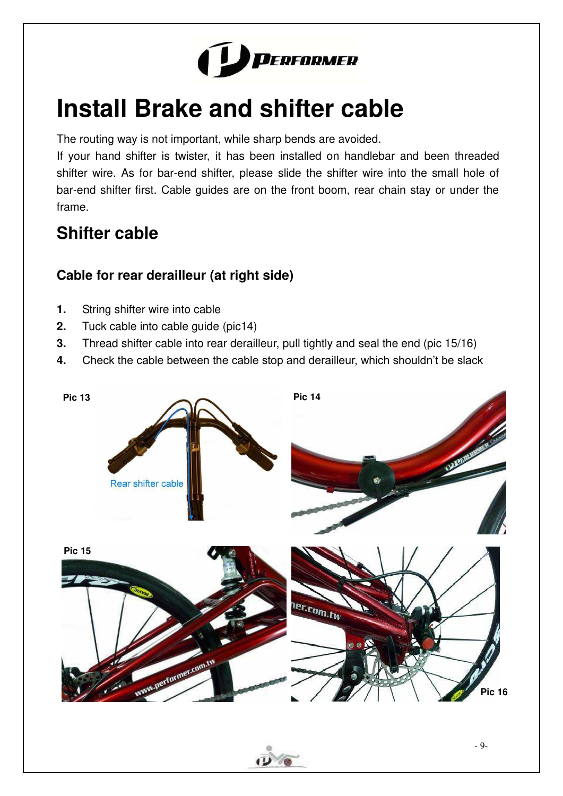

# <span id="page-11-0"></span>**Install Brake and shifter cable**

The routing way is not important, while sharp bends are avoided.

If your hand shifter is twister, it has been installed on handlebar and been threaded shifter wire. As for bar-end shifter, please slide the shifter wire into the small hole of bar-end shifter first. Cable guides are on the front boom, rear chain stay or under the frame.

## <span id="page-11-1"></span>**Shifter cable**

### <span id="page-11-2"></span>**Cable for rear derailleur (at right side)**

- **1.** String shifter wire into cable
- **2.** Tuck cable into cable guide (pic14)
- **3.** Thread shifter cable into rear derailleur, pull tightly and seal the end (pic 15/16)
- **4.** Check the cable between the cable stop and derailleur, which shouldn't be slack

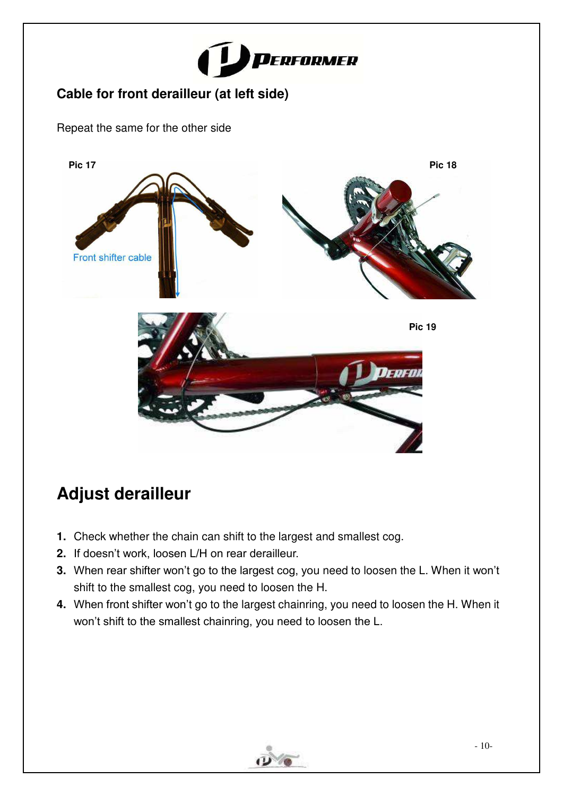

### <span id="page-12-0"></span>**Cable for front derailleur (at left side)**

Repeat the same for the other side



## <span id="page-12-1"></span>**Adjust derailleur**

- **1.** Check whether the chain can shift to the largest and smallest cog.
- **2.** If doesn't work, loosen L/H on rear derailleur.
- **3.** When rear shifter won't go to the largest cog, you need to loosen the L. When it won't shift to the smallest cog, you need to loosen the H.
- **4.** When front shifter won't go to the largest chainring, you need to loosen the H. When it won't shift to the smallest chainring, you need to loosen the L.

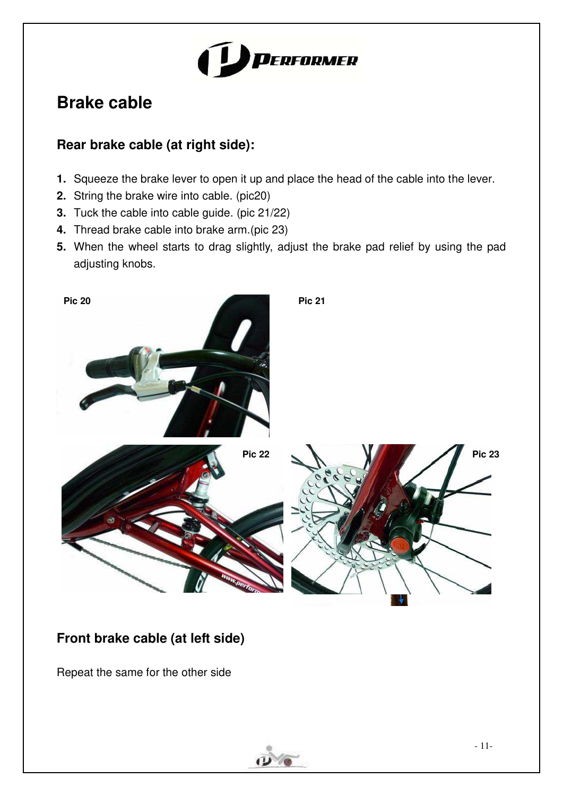

## <span id="page-13-0"></span>**Brake cable**

### <span id="page-13-1"></span>**Rear brake cable (at right side):**

- **1.** Squeeze the brake lever to open it up and place the head of the cable into the lever.
- **2.** String the brake wire into cable. (pic20)
- **3.** Tuck the cable into cable guide. (pic 21/22)
- **4.** Thread brake cable into brake arm.(pic 23)
- **5.** When the wheel starts to drag slightly, adjust the brake pad relief by using the pad adjusting knobs.



### <span id="page-13-2"></span>**Front brake cable (at left side)**

Repeat the same for the other side

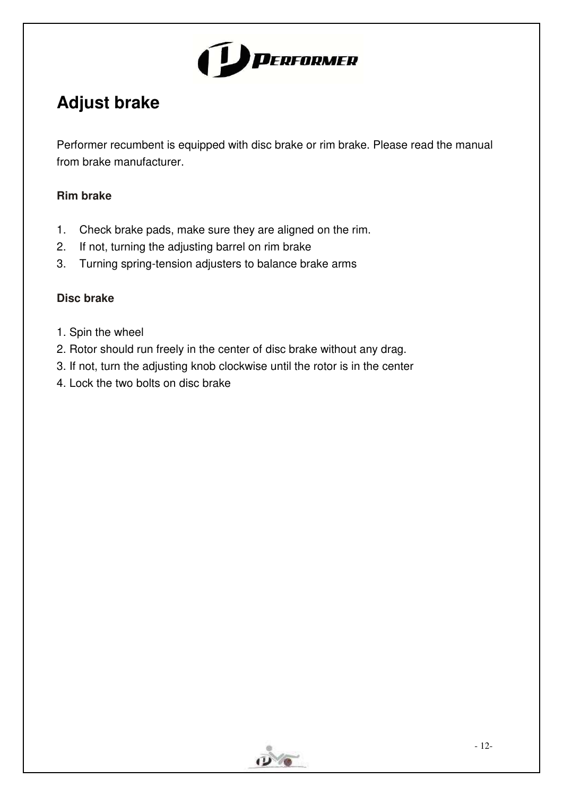

## <span id="page-14-0"></span>**Adjust brake**

Performer recumbent is equipped with disc brake or rim brake. Please read the manual from brake manufacturer.

### **Rim brake**

- 1. Check brake pads, make sure they are aligned on the rim.
- 2. If not, turning the adjusting barrel on rim brake
- 3. Turning spring-tension adjusters to balance brake arms

#### **Disc brake**

- 1. Spin the wheel
- 2. Rotor should run freely in the center of disc brake without any drag.
- 3. If not, turn the adjusting knob clockwise until the rotor is in the center
- 4. Lock the two bolts on disc brake

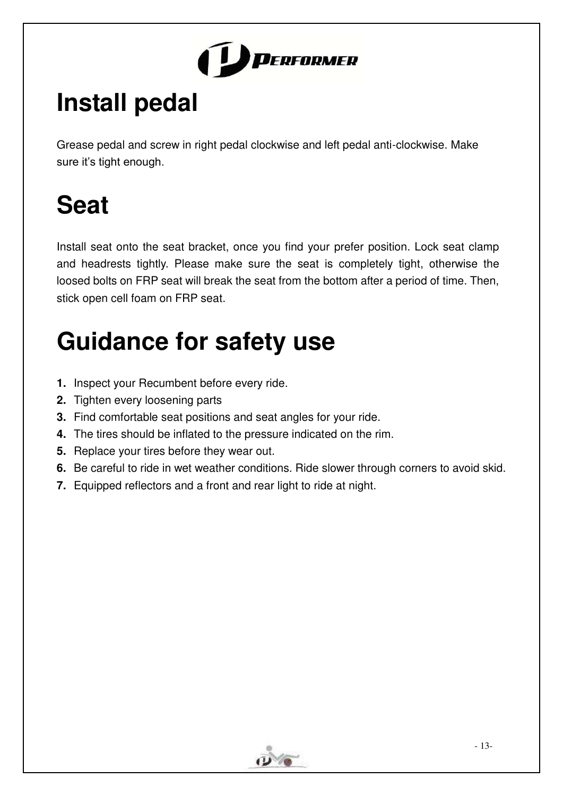

# <span id="page-15-0"></span>**Install pedal**

Grease pedal and screw in right pedal clockwise and left pedal anti-clockwise. Make sure it's tight enough.

# <span id="page-15-1"></span>**Seat**

Install seat onto the seat bracket, once you find your prefer position. Lock seat clamp and headrests tightly. Please make sure the seat is completely tight, otherwise the loosed bolts on FRP seat will break the seat from the bottom after a period of time. Then, stick open cell foam on FRP seat.

# **Guidance for safety use**

- **1.** Inspect your Recumbent before every ride.
- **2.** Tighten every loosening parts
- **3.** Find comfortable seat positions and seat angles for your ride.
- **4.** The tires should be inflated to the pressure indicated on the rim.
- **5.** Replace your tires before they wear out.
- **6.** Be careful to ride in wet weather conditions. Ride slower through corners to avoid skid.
- **7.** Equipped reflectors and a front and rear light to ride at night.